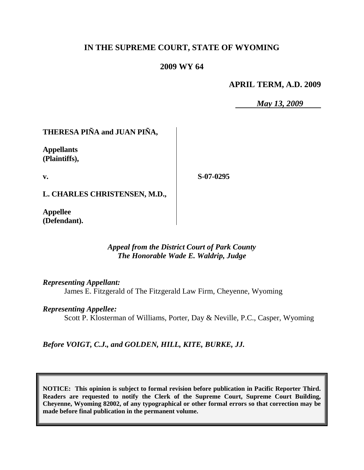# **IN THE SUPREME COURT, STATE OF WYOMING**

## **2009 WY 64**

### **APRIL TERM, A.D. 2009**

*May 13, 2009*

# **THERESA PIÑA and JUAN PIÑA,**

**Appellants (Plaintiffs),**

**v.**

**S-07-0295**

**L. CHARLES CHRISTENSEN, M.D.,**

**Appellee (Defendant).**

## *Appeal from the District Court of Park County The Honorable Wade E. Waldrip, Judge*

*Representing Appellant:*

James E. Fitzgerald of The Fitzgerald Law Firm, Cheyenne, Wyoming

#### *Representing Appellee:*

Scott P. Klosterman of Williams, Porter, Day & Neville, P.C., Casper, Wyoming

*Before VOIGT, C.J., and GOLDEN, HILL, KITE, BURKE, JJ.*

**NOTICE: This opinion is subject to formal revision before publication in Pacific Reporter Third. Readers are requested to notify the Clerk of the Supreme Court, Supreme Court Building, Cheyenne, Wyoming 82002, of any typographical or other formal errors so that correction may be made before final publication in the permanent volume.**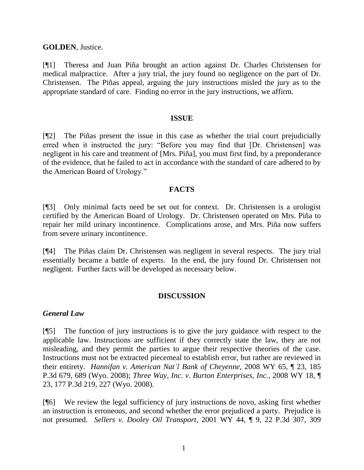### **GOLDEN**, Justice.

[¶1] Theresa and Juan Piña brought an action against Dr. Charles Christensen for medical malpractice. After a jury trial, the jury found no negligence on the part of Dr. Christensen. The Piñas appeal, arguing the jury instructions misled the jury as to the appropriate standard of care. Finding no error in the jury instructions, we affirm.

#### **ISSUE**

[¶2] The Piñas present the issue in this case as whether the trial court prejudicially erred when it instructed the jury: "Before you may find that [Dr. Christensen] was negligent in his care and treatment of [Mrs. Piña], you must first find, by a preponderance of the evidence, that he failed to act in accordance with the standard of care adhered to by the American Board of Urology."

#### **FACTS**

[¶3] Only minimal facts need be set out for context. Dr. Christensen is a urologist certified by the American Board of Urology. Dr. Christensen operated on Mrs. Piña to repair her mild urinary incontinence. Complications arose, and Mrs. Piña now suffers from severe urinary incontinence.

[¶4] The Piñas claim Dr. Christensen was negligent in several respects. The jury trial essentially became a battle of experts. In the end, the jury found Dr. Christensen not negligent. Further facts will be developed as necessary below.

## **DISCUSSION**

#### *General Law*

[¶5] The function of jury instructions is to give the jury guidance with respect to the applicable law. Instructions are sufficient if they correctly state the law, they are not misleading, and they permit the parties to argue their respective theories of the case. Instructions must not be extracted piecemeal to establish error, but rather are reviewed in their entirety. *Hannifan v. American Nat'l Bank of Cheyenne*, 2008 WY 65, ¶ 23, 185 P.3d 679, 689 (Wyo. 2008); *Three Way, Inc. v. Burton Enterprises, Inc.*, 2008 WY 18, ¶ 23, 177 P.3d 219, 227 (Wyo. 2008).

[¶6] We review the legal sufficiency of jury instructions de novo, asking first whether an instruction is erroneous, and second whether the error prejudiced a party. Prejudice is not presumed. *Sellers v. Dooley Oil Transport*, 2001 WY 44, ¶ 9, 22 P.3d 307, 309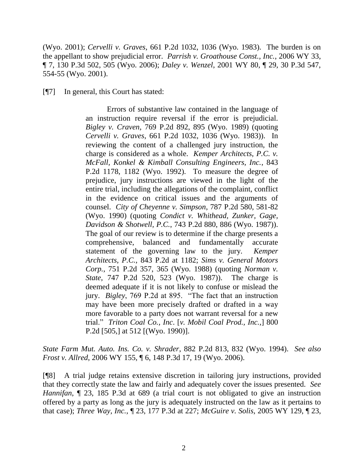(Wyo. 2001); *Cervelli v. Graves*, 661 P.2d 1032, 1036 (Wyo. 1983). The burden is on the appellant to show prejudicial error. *Parrish v. Groathouse Const., Inc.*, 2006 WY 33, ¶ 7, 130 P.3d 502, 505 (Wyo. 2006); *Daley v. Wenzel*, 2001 WY 80, ¶ 29, 30 P.3d 547, 554-55 (Wyo. 2001).

[¶7] In general, this Court has stated:

Errors of substantive law contained in the language of an instruction require reversal if the error is prejudicial. *Bigley v. Craven*, 769 P.2d 892, 895 (Wyo. 1989) (quoting *Cervelli v. Graves*, 661 P.2d 1032, 1036 (Wyo. 1983)). In reviewing the content of a challenged jury instruction, the charge is considered as a whole. *Kemper Architects, P.C. v. McFall, Konkel & Kimball Consulting Engineers, Inc.*, 843 P.2d 1178, 1182 (Wyo. 1992). To measure the degree of prejudice, jury instructions are viewed in the light of the entire trial, including the allegations of the complaint, conflict in the evidence on critical issues and the arguments of counsel. *City of Cheyenne v. Simpson*, 787 P.2d 580, 581-82 (Wyo. 1990) (quoting *Condict v. Whithead, Zunker, Gage, Davidson & Shotwell, P.C.*, 743 P.2d 880, 886 (Wyo. 1987)). The goal of our review is to determine if the charge presents a comprehensive, balanced and fundamentally accurate statement of the governing law to the jury. *Kemper Architects, P.C.*, 843 P.2d at 1182; *Sims v. General Motors Corp.*, 751 P.2d 357, 365 (Wyo. 1988) (quoting *Norman v. State*, 747 P.2d 520, 523 (Wyo. 1987)). The charge is deemed adequate if it is not likely to confuse or mislead the jury. *Bigley*, 769 P.2d at 895. "The fact that an instruction may have been more precisely drafted or drafted in a way more favorable to a party does not warrant reversal for a new trial." *Triton Coal Co., Inc*. [*v. Mobil Coal Prod., Inc.,*] 800 P.2d [505,] at 512 [(Wyo. 1990)].

*State Farm Mut. Auto. Ins. Co. v. Shrader*, 882 P.2d 813, 832 (Wyo. 1994). *See also Frost v. Allred*, 2006 WY 155, ¶ 6, 148 P.3d 17, 19 (Wyo. 2006).

[¶8] A trial judge retains extensive discretion in tailoring jury instructions, provided that they correctly state the law and fairly and adequately cover the issues presented. *See Hannifan*,  $\sim$  23, 185 P.3d at 689 (a trial court is not obligated to give an instruction offered by a party as long as the jury is adequately instructed on the law as it pertains to that case); *Three Way, Inc.*, ¶ 23, 177 P.3d at 227; *McGuire v. Solis*, 2005 WY 129, ¶ 23,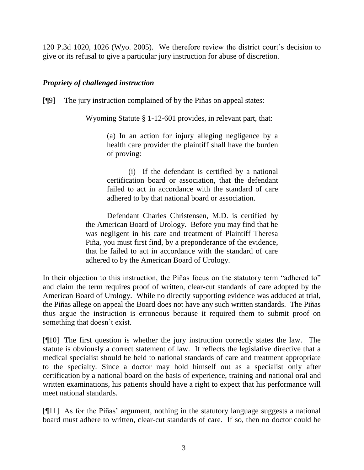120 P.3d 1020, 1026 (Wyo. 2005). We therefore review the district court's decision to give or its refusal to give a particular jury instruction for abuse of discretion.

## *Propriety of challenged instruction*

[¶9] The jury instruction complained of by the Piñas on appeal states:

Wyoming Statute § 1-12-601 provides, in relevant part, that:

(a) In an action for injury alleging negligence by a health care provider the plaintiff shall have the burden of proving:

(i) If the defendant is certified by a national certification board or association, that the defendant failed to act in accordance with the standard of care adhered to by that national board or association.

Defendant Charles Christensen, M.D. is certified by the American Board of Urology. Before you may find that he was negligent in his care and treatment of Plaintiff Theresa Piña, you must first find, by a preponderance of the evidence, that he failed to act in accordance with the standard of care adhered to by the American Board of Urology.

In their objection to this instruction, the Piñas focus on the statutory term "adhered to" and claim the term requires proof of written, clear-cut standards of care adopted by the American Board of Urology. While no directly supporting evidence was adduced at trial, the Piñas allege on appeal the Board does not have any such written standards. The Piñas thus argue the instruction is erroneous because it required them to submit proof on something that doesn't exist.

[¶10] The first question is whether the jury instruction correctly states the law. The statute is obviously a correct statement of law. It reflects the legislative directive that a medical specialist should be held to national standards of care and treatment appropriate to the specialty. Since a doctor may hold himself out as a specialist only after certification by a national board on the basis of experience, training and national oral and written examinations, his patients should have a right to expect that his performance will meet national standards.

[¶11] As for the Piñas' argument, nothing in the statutory language suggests a national board must adhere to written, clear-cut standards of care. If so, then no doctor could be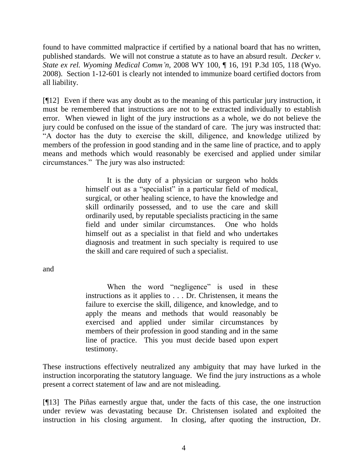found to have committed malpractice if certified by a national board that has no written, published standards. We will not construe a statute as to have an absurd result. *Decker v. State ex rel. Wyoming Medical Comm'n*, 2008 WY 100, ¶ 16, 191 P.3d 105, 118 (Wyo. 2008). Section 1-12-601 is clearly not intended to immunize board certified doctors from all liability.

[¶12] Even if there was any doubt as to the meaning of this particular jury instruction, it must be remembered that instructions are not to be extracted individually to establish error. When viewed in light of the jury instructions as a whole, we do not believe the jury could be confused on the issue of the standard of care. The jury was instructed that: "A doctor has the duty to exercise the skill, diligence, and knowledge utilized by members of the profession in good standing and in the same line of practice, and to apply means and methods which would reasonably be exercised and applied under similar circumstances." The jury was also instructed:

> It is the duty of a physician or surgeon who holds himself out as a "specialist" in a particular field of medical, surgical, or other healing science, to have the knowledge and skill ordinarily possessed, and to use the care and skill ordinarily used, by reputable specialists practicing in the same field and under similar circumstances. One who holds himself out as a specialist in that field and who undertakes diagnosis and treatment in such specialty is required to use the skill and care required of such a specialist.

and

When the word "negligence" is used in these instructions as it applies to . . . Dr. Christensen, it means the failure to exercise the skill, diligence, and knowledge, and to apply the means and methods that would reasonably be exercised and applied under similar circumstances by members of their profession in good standing and in the same line of practice. This you must decide based upon expert testimony.

These instructions effectively neutralized any ambiguity that may have lurked in the instruction incorporating the statutory language. We find the jury instructions as a whole present a correct statement of law and are not misleading.

[¶13] The Piñas earnestly argue that, under the facts of this case, the one instruction under review was devastating because Dr. Christensen isolated and exploited the instruction in his closing argument. In closing, after quoting the instruction, Dr.